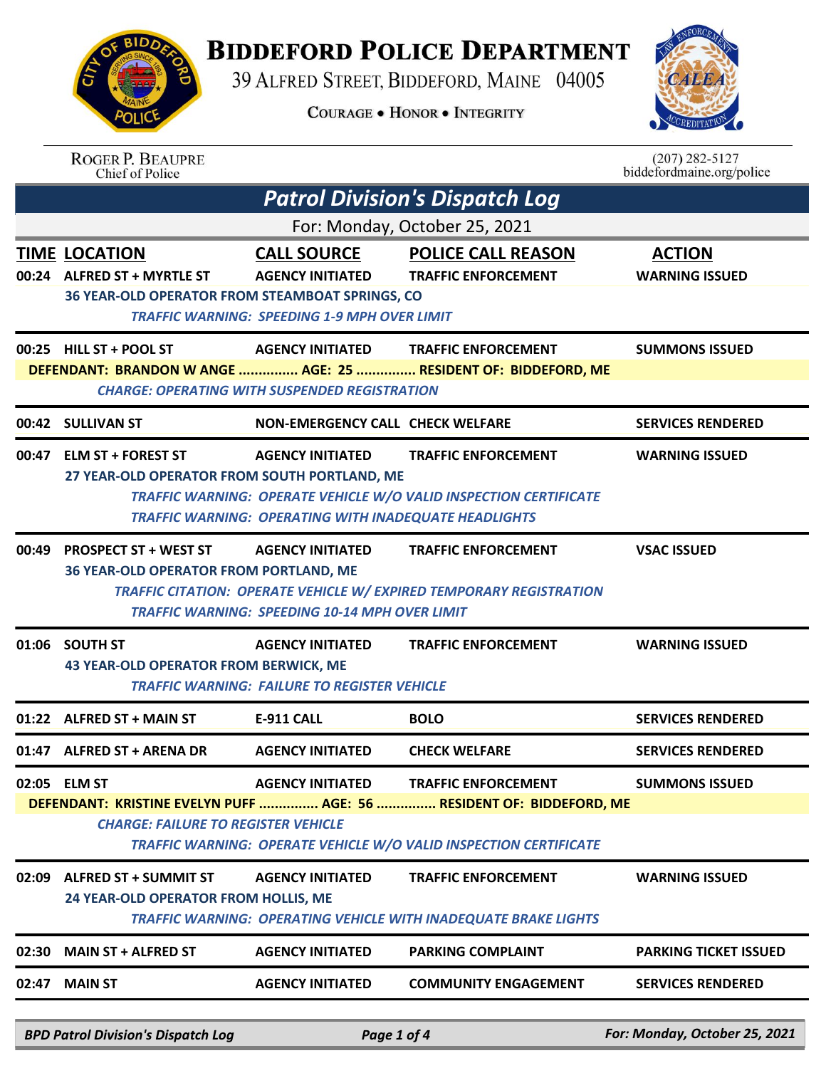

## **BIDDEFORD POLICE DEPARTMENT**

39 ALFRED STREET, BIDDEFORD, MAINE 04005

**COURAGE . HONOR . INTEGRITY** 



|                                                                 | <b>ROGER P. BEAUPRE</b><br>Chief of Police                                                                      |                                                              |                                                                            | $(207)$ 282-5127<br>biddefordmaine.org/police |  |  |
|-----------------------------------------------------------------|-----------------------------------------------------------------------------------------------------------------|--------------------------------------------------------------|----------------------------------------------------------------------------|-----------------------------------------------|--|--|
|                                                                 |                                                                                                                 |                                                              | <b>Patrol Division's Dispatch Log</b>                                      |                                               |  |  |
|                                                                 |                                                                                                                 |                                                              | For: Monday, October 25, 2021                                              |                                               |  |  |
|                                                                 | <b>TIME LOCATION</b>                                                                                            | <b>CALL SOURCE</b>                                           | <b>POLICE CALL REASON</b>                                                  | <b>ACTION</b>                                 |  |  |
|                                                                 | 00:24 ALFRED ST + MYRTLE ST                                                                                     | <b>AGENCY INITIATED</b>                                      | <b>TRAFFIC ENFORCEMENT</b>                                                 | <b>WARNING ISSUED</b>                         |  |  |
|                                                                 | 36 YEAR-OLD OPERATOR FROM STEAMBOAT SPRINGS, CO                                                                 |                                                              |                                                                            |                                               |  |  |
|                                                                 |                                                                                                                 | <b>TRAFFIC WARNING: SPEEDING 1-9 MPH OVER LIMIT</b>          |                                                                            |                                               |  |  |
|                                                                 | 00:25 HILL ST + POOL ST                                                                                         | <b>AGENCY INITIATED</b>                                      | <b>TRAFFIC ENFORCEMENT</b>                                                 | <b>SUMMONS ISSUED</b>                         |  |  |
|                                                                 |                                                                                                                 |                                                              | DEFENDANT: BRANDON W ANGE  AGE: 25  RESIDENT OF: BIDDEFORD, ME             |                                               |  |  |
|                                                                 |                                                                                                                 | <b>CHARGE: OPERATING WITH SUSPENDED REGISTRATION</b>         |                                                                            |                                               |  |  |
|                                                                 | 00:42 SULLIVAN ST                                                                                               | <b>NON-EMERGENCY CALL CHECK WELFARE</b>                      |                                                                            | <b>SERVICES RENDERED</b>                      |  |  |
|                                                                 | 00:47 ELM ST + FOREST ST                                                                                        | <b>AGENCY INITIATED</b>                                      | <b>TRAFFIC ENFORCEMENT</b>                                                 | <b>WARNING ISSUED</b>                         |  |  |
|                                                                 | 27 YEAR-OLD OPERATOR FROM SOUTH PORTLAND, ME                                                                    |                                                              |                                                                            |                                               |  |  |
|                                                                 |                                                                                                                 |                                                              | <b>TRAFFIC WARNING: OPERATE VEHICLE W/O VALID INSPECTION CERTIFICATE</b>   |                                               |  |  |
|                                                                 |                                                                                                                 | <b>TRAFFIC WARNING: OPERATING WITH INADEQUATE HEADLIGHTS</b> |                                                                            |                                               |  |  |
|                                                                 | 00:49 PROSPECT ST + WEST ST                                                                                     | <b>AGENCY INITIATED</b>                                      | <b>TRAFFIC ENFORCEMENT</b>                                                 | <b>VSAC ISSUED</b>                            |  |  |
|                                                                 | 36 YEAR-OLD OPERATOR FROM PORTLAND, ME                                                                          |                                                              |                                                                            |                                               |  |  |
|                                                                 |                                                                                                                 |                                                              | <b>TRAFFIC CITATION: OPERATE VEHICLE W/ EXPIRED TEMPORARY REGISTRATION</b> |                                               |  |  |
|                                                                 |                                                                                                                 | <b>TRAFFIC WARNING: SPEEDING 10-14 MPH OVER LIMIT</b>        |                                                                            |                                               |  |  |
|                                                                 | 01:06 SOUTH ST                                                                                                  | <b>AGENCY INITIATED</b>                                      | <b>TRAFFIC ENFORCEMENT</b>                                                 | <b>WARNING ISSUED</b>                         |  |  |
|                                                                 | <b>43 YEAR-OLD OPERATOR FROM BERWICK, ME</b>                                                                    |                                                              |                                                                            |                                               |  |  |
|                                                                 |                                                                                                                 | <b>TRAFFIC WARNING: FAILURE TO REGISTER VEHICLE</b>          |                                                                            |                                               |  |  |
|                                                                 | 01:22 ALFRED ST + MAIN ST                                                                                       | <b>E-911 CALL</b>                                            | <b>BOLO</b>                                                                | <b>SERVICES RENDERED</b>                      |  |  |
|                                                                 | 01:47 ALFRED ST + ARENA DR                                                                                      | <b>AGENCY INITIATED</b>                                      | <b>CHECK WELFARE</b>                                                       | <b>SERVICES RENDERED</b>                      |  |  |
|                                                                 | 02:05 ELM ST                                                                                                    | <b>AGENCY INITIATED</b>                                      | <b>TRAFFIC ENFORCEMENT</b>                                                 | <b>SUMMONS ISSUED</b>                         |  |  |
|                                                                 |                                                                                                                 |                                                              | DEFENDANT: KRISTINE EVELYN PUFF  AGE: 56  RESIDENT OF: BIDDEFORD, ME       |                                               |  |  |
|                                                                 | <b>CHARGE: FAILURE TO REGISTER VEHICLE</b><br>TRAFFIC WARNING: OPERATE VEHICLE W/O VALID INSPECTION CERTIFICATE |                                                              |                                                                            |                                               |  |  |
|                                                                 |                                                                                                                 |                                                              |                                                                            |                                               |  |  |
| 02:09                                                           | <b>ALFRED ST + SUMMIT ST</b>                                                                                    | <b>AGENCY INITIATED</b>                                      | <b>TRAFFIC ENFORCEMENT</b>                                                 | <b>WARNING ISSUED</b>                         |  |  |
|                                                                 | 24 YEAR-OLD OPERATOR FROM HOLLIS, ME                                                                            |                                                              |                                                                            |                                               |  |  |
| TRAFFIC WARNING: OPERATING VEHICLE WITH INADEQUATE BRAKE LIGHTS |                                                                                                                 |                                                              |                                                                            |                                               |  |  |
| 02:30                                                           | <b>MAIN ST + ALFRED ST</b>                                                                                      | <b>AGENCY INITIATED</b>                                      | <b>PARKING COMPLAINT</b>                                                   | <b>PARKING TICKET ISSUED</b>                  |  |  |
|                                                                 | 02:47 MAIN ST                                                                                                   | <b>AGENCY INITIATED</b>                                      | <b>COMMUNITY ENGAGEMENT</b>                                                | <b>SERVICES RENDERED</b>                      |  |  |
|                                                                 |                                                                                                                 |                                                              |                                                                            |                                               |  |  |
|                                                                 | <b>BPD Patrol Division's Dispatch Log</b>                                                                       | Page 1 of 4                                                  |                                                                            | For: Monday, October 25, 2021                 |  |  |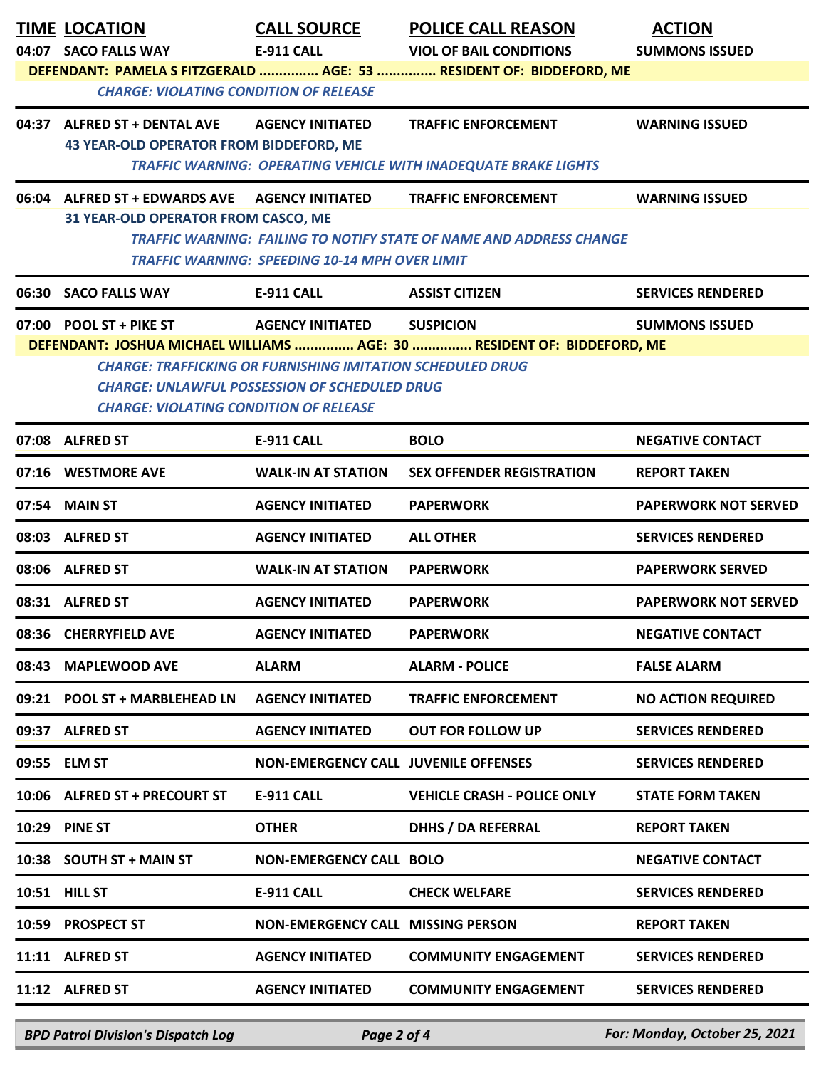| DEFENDANT: PAMELA S FITZGERALD  AGE: 53  RESIDENT OF: BIDDEFORD, ME<br><b>CHARGE: VIOLATING CONDITION OF RELEASE</b><br>04:37 ALFRED ST + DENTAL AVE<br><b>AGENCY INITIATED</b><br><b>TRAFFIC ENFORCEMENT</b><br><b>WARNING ISSUED</b><br><b>43 YEAR-OLD OPERATOR FROM BIDDEFORD, ME</b><br><b>TRAFFIC WARNING: OPERATING VEHICLE WITH INADEQUATE BRAKE LIGHTS</b><br><b>AGENCY INITIATED</b><br>06:04 ALFRED ST + EDWARDS AVE<br><b>TRAFFIC ENFORCEMENT</b><br><b>WARNING ISSUED</b><br><b>31 YEAR-OLD OPERATOR FROM CASCO, ME</b><br>TRAFFIC WARNING: FAILING TO NOTIFY STATE OF NAME AND ADDRESS CHANGE<br><b>TRAFFIC WARNING: SPEEDING 10-14 MPH OVER LIMIT</b><br>06:30<br><b>SACO FALLS WAY</b><br><b>E-911 CALL</b><br><b>ASSIST CITIZEN</b><br><b>SERVICES RENDERED</b><br>07:00 POOL ST + PIKE ST<br><b>AGENCY INITIATED</b><br><b>SUSPICION</b><br><b>SUMMONS ISSUED</b><br>DEFENDANT: JOSHUA MICHAEL WILLIAMS  AGE: 30  RESIDENT OF: BIDDEFORD, ME<br><b>CHARGE: TRAFFICKING OR FURNISHING IMITATION SCHEDULED DRUG</b><br><b>CHARGE: UNLAWFUL POSSESSION OF SCHEDULED DRUG</b><br><b>CHARGE: VIOLATING CONDITION OF RELEASE</b><br>07:08 ALFRED ST<br><b>E-911 CALL</b><br><b>BOLO</b><br><b>NEGATIVE CONTACT</b><br>07:16 WESTMORE AVE<br><b>SEX OFFENDER REGISTRATION</b><br><b>WALK-IN AT STATION</b><br><b>REPORT TAKEN</b><br>07:54 MAIN ST<br><b>AGENCY INITIATED</b><br><b>PAPERWORK NOT SERVED</b><br><b>PAPERWORK</b><br>08:03 ALFRED ST<br><b>AGENCY INITIATED</b><br><b>SERVICES RENDERED</b><br><b>ALL OTHER</b><br><b>PAPERWORK SERVED</b><br>08:06 ALFRED ST<br><b>WALK-IN AT STATION</b><br><b>PAPERWORK</b><br>08:31 ALFRED ST<br><b>AGENCY INITIATED</b><br><b>PAPERWORK</b><br><b>PAPERWORK NOT SERVED</b><br>08:36 CHERRYFIELD AVE<br><b>AGENCY INITIATED</b><br><b>PAPERWORK</b><br><b>NEGATIVE CONTACT</b><br><b>ALARM</b><br>08:43 MAPLEWOOD AVE<br><b>ALARM - POLICE</b><br><b>FALSE ALARM</b><br>09:21 POOL ST + MARBLEHEAD LN<br><b>AGENCY INITIATED</b><br><b>TRAFFIC ENFORCEMENT</b><br><b>NO ACTION REQUIRED</b><br>09:37 ALFRED ST<br><b>AGENCY INITIATED</b><br><b>OUT FOR FOLLOW UP</b><br><b>SERVICES RENDERED</b><br>09:55 ELM ST<br><b>NON-EMERGENCY CALL JUVENILE OFFENSES</b><br><b>SERVICES RENDERED</b><br>10:06 ALFRED ST + PRECOURT ST<br>E-911 CALL<br><b>VEHICLE CRASH - POLICE ONLY</b><br><b>STATE FORM TAKEN</b><br><b>DHHS / DA REFERRAL</b><br>10:29 PINE ST<br><b>OTHER</b><br><b>REPORT TAKEN</b><br>10:38 SOUTH ST + MAIN ST<br><b>NON-EMERGENCY CALL BOLO</b><br><b>NEGATIVE CONTACT</b><br>10:51 HILL ST<br>E-911 CALL<br><b>SERVICES RENDERED</b><br><b>CHECK WELFARE</b><br><b>PROSPECT ST</b><br><b>NON-EMERGENCY CALL MISSING PERSON</b><br><b>REPORT TAKEN</b><br>10:59<br>11:11 ALFRED ST<br><b>AGENCY INITIATED</b><br><b>SERVICES RENDERED</b><br><b>COMMUNITY ENGAGEMENT</b><br>11:12 ALFRED ST<br><b>AGENCY INITIATED</b><br><b>COMMUNITY ENGAGEMENT</b><br><b>SERVICES RENDERED</b> |  | <b>TIME LOCATION</b><br>04:07 SACO FALLS WAY | <b>CALL SOURCE</b><br><b>E-911 CALL</b> | <b>POLICE CALL REASON</b><br><b>VIOL OF BAIL CONDITIONS</b> | <b>ACTION</b><br><b>SUMMONS ISSUED</b> |  |
|----------------------------------------------------------------------------------------------------------------------------------------------------------------------------------------------------------------------------------------------------------------------------------------------------------------------------------------------------------------------------------------------------------------------------------------------------------------------------------------------------------------------------------------------------------------------------------------------------------------------------------------------------------------------------------------------------------------------------------------------------------------------------------------------------------------------------------------------------------------------------------------------------------------------------------------------------------------------------------------------------------------------------------------------------------------------------------------------------------------------------------------------------------------------------------------------------------------------------------------------------------------------------------------------------------------------------------------------------------------------------------------------------------------------------------------------------------------------------------------------------------------------------------------------------------------------------------------------------------------------------------------------------------------------------------------------------------------------------------------------------------------------------------------------------------------------------------------------------------------------------------------------------------------------------------------------------------------------------------------------------------------------------------------------------------------------------------------------------------------------------------------------------------------------------------------------------------------------------------------------------------------------------------------------------------------------------------------------------------------------------------------------------------------------------------------------------------------------------------------------------------------------------------------------------------------------------------------------------------------------------------------------------------------------------------------------------------------------------------------------------------------------------------------------------------------------------------------------------------------------------------------------------------------------------------------------------------------|--|----------------------------------------------|-----------------------------------------|-------------------------------------------------------------|----------------------------------------|--|
|                                                                                                                                                                                                                                                                                                                                                                                                                                                                                                                                                                                                                                                                                                                                                                                                                                                                                                                                                                                                                                                                                                                                                                                                                                                                                                                                                                                                                                                                                                                                                                                                                                                                                                                                                                                                                                                                                                                                                                                                                                                                                                                                                                                                                                                                                                                                                                                                                                                                                                                                                                                                                                                                                                                                                                                                                                                                                                                                                                |  |                                              |                                         |                                                             |                                        |  |
|                                                                                                                                                                                                                                                                                                                                                                                                                                                                                                                                                                                                                                                                                                                                                                                                                                                                                                                                                                                                                                                                                                                                                                                                                                                                                                                                                                                                                                                                                                                                                                                                                                                                                                                                                                                                                                                                                                                                                                                                                                                                                                                                                                                                                                                                                                                                                                                                                                                                                                                                                                                                                                                                                                                                                                                                                                                                                                                                                                |  |                                              |                                         |                                                             |                                        |  |
|                                                                                                                                                                                                                                                                                                                                                                                                                                                                                                                                                                                                                                                                                                                                                                                                                                                                                                                                                                                                                                                                                                                                                                                                                                                                                                                                                                                                                                                                                                                                                                                                                                                                                                                                                                                                                                                                                                                                                                                                                                                                                                                                                                                                                                                                                                                                                                                                                                                                                                                                                                                                                                                                                                                                                                                                                                                                                                                                                                |  |                                              |                                         |                                                             |                                        |  |
|                                                                                                                                                                                                                                                                                                                                                                                                                                                                                                                                                                                                                                                                                                                                                                                                                                                                                                                                                                                                                                                                                                                                                                                                                                                                                                                                                                                                                                                                                                                                                                                                                                                                                                                                                                                                                                                                                                                                                                                                                                                                                                                                                                                                                                                                                                                                                                                                                                                                                                                                                                                                                                                                                                                                                                                                                                                                                                                                                                |  |                                              |                                         |                                                             |                                        |  |
|                                                                                                                                                                                                                                                                                                                                                                                                                                                                                                                                                                                                                                                                                                                                                                                                                                                                                                                                                                                                                                                                                                                                                                                                                                                                                                                                                                                                                                                                                                                                                                                                                                                                                                                                                                                                                                                                                                                                                                                                                                                                                                                                                                                                                                                                                                                                                                                                                                                                                                                                                                                                                                                                                                                                                                                                                                                                                                                                                                |  |                                              |                                         |                                                             |                                        |  |
|                                                                                                                                                                                                                                                                                                                                                                                                                                                                                                                                                                                                                                                                                                                                                                                                                                                                                                                                                                                                                                                                                                                                                                                                                                                                                                                                                                                                                                                                                                                                                                                                                                                                                                                                                                                                                                                                                                                                                                                                                                                                                                                                                                                                                                                                                                                                                                                                                                                                                                                                                                                                                                                                                                                                                                                                                                                                                                                                                                |  |                                              |                                         |                                                             |                                        |  |
|                                                                                                                                                                                                                                                                                                                                                                                                                                                                                                                                                                                                                                                                                                                                                                                                                                                                                                                                                                                                                                                                                                                                                                                                                                                                                                                                                                                                                                                                                                                                                                                                                                                                                                                                                                                                                                                                                                                                                                                                                                                                                                                                                                                                                                                                                                                                                                                                                                                                                                                                                                                                                                                                                                                                                                                                                                                                                                                                                                |  |                                              |                                         |                                                             |                                        |  |
|                                                                                                                                                                                                                                                                                                                                                                                                                                                                                                                                                                                                                                                                                                                                                                                                                                                                                                                                                                                                                                                                                                                                                                                                                                                                                                                                                                                                                                                                                                                                                                                                                                                                                                                                                                                                                                                                                                                                                                                                                                                                                                                                                                                                                                                                                                                                                                                                                                                                                                                                                                                                                                                                                                                                                                                                                                                                                                                                                                |  |                                              |                                         |                                                             |                                        |  |
|                                                                                                                                                                                                                                                                                                                                                                                                                                                                                                                                                                                                                                                                                                                                                                                                                                                                                                                                                                                                                                                                                                                                                                                                                                                                                                                                                                                                                                                                                                                                                                                                                                                                                                                                                                                                                                                                                                                                                                                                                                                                                                                                                                                                                                                                                                                                                                                                                                                                                                                                                                                                                                                                                                                                                                                                                                                                                                                                                                |  |                                              |                                         |                                                             |                                        |  |
|                                                                                                                                                                                                                                                                                                                                                                                                                                                                                                                                                                                                                                                                                                                                                                                                                                                                                                                                                                                                                                                                                                                                                                                                                                                                                                                                                                                                                                                                                                                                                                                                                                                                                                                                                                                                                                                                                                                                                                                                                                                                                                                                                                                                                                                                                                                                                                                                                                                                                                                                                                                                                                                                                                                                                                                                                                                                                                                                                                |  |                                              |                                         |                                                             |                                        |  |
|                                                                                                                                                                                                                                                                                                                                                                                                                                                                                                                                                                                                                                                                                                                                                                                                                                                                                                                                                                                                                                                                                                                                                                                                                                                                                                                                                                                                                                                                                                                                                                                                                                                                                                                                                                                                                                                                                                                                                                                                                                                                                                                                                                                                                                                                                                                                                                                                                                                                                                                                                                                                                                                                                                                                                                                                                                                                                                                                                                |  |                                              |                                         |                                                             |                                        |  |
|                                                                                                                                                                                                                                                                                                                                                                                                                                                                                                                                                                                                                                                                                                                                                                                                                                                                                                                                                                                                                                                                                                                                                                                                                                                                                                                                                                                                                                                                                                                                                                                                                                                                                                                                                                                                                                                                                                                                                                                                                                                                                                                                                                                                                                                                                                                                                                                                                                                                                                                                                                                                                                                                                                                                                                                                                                                                                                                                                                |  |                                              |                                         |                                                             |                                        |  |
|                                                                                                                                                                                                                                                                                                                                                                                                                                                                                                                                                                                                                                                                                                                                                                                                                                                                                                                                                                                                                                                                                                                                                                                                                                                                                                                                                                                                                                                                                                                                                                                                                                                                                                                                                                                                                                                                                                                                                                                                                                                                                                                                                                                                                                                                                                                                                                                                                                                                                                                                                                                                                                                                                                                                                                                                                                                                                                                                                                |  |                                              |                                         |                                                             |                                        |  |
|                                                                                                                                                                                                                                                                                                                                                                                                                                                                                                                                                                                                                                                                                                                                                                                                                                                                                                                                                                                                                                                                                                                                                                                                                                                                                                                                                                                                                                                                                                                                                                                                                                                                                                                                                                                                                                                                                                                                                                                                                                                                                                                                                                                                                                                                                                                                                                                                                                                                                                                                                                                                                                                                                                                                                                                                                                                                                                                                                                |  |                                              |                                         |                                                             |                                        |  |
|                                                                                                                                                                                                                                                                                                                                                                                                                                                                                                                                                                                                                                                                                                                                                                                                                                                                                                                                                                                                                                                                                                                                                                                                                                                                                                                                                                                                                                                                                                                                                                                                                                                                                                                                                                                                                                                                                                                                                                                                                                                                                                                                                                                                                                                                                                                                                                                                                                                                                                                                                                                                                                                                                                                                                                                                                                                                                                                                                                |  |                                              |                                         |                                                             |                                        |  |
|                                                                                                                                                                                                                                                                                                                                                                                                                                                                                                                                                                                                                                                                                                                                                                                                                                                                                                                                                                                                                                                                                                                                                                                                                                                                                                                                                                                                                                                                                                                                                                                                                                                                                                                                                                                                                                                                                                                                                                                                                                                                                                                                                                                                                                                                                                                                                                                                                                                                                                                                                                                                                                                                                                                                                                                                                                                                                                                                                                |  |                                              |                                         |                                                             |                                        |  |
|                                                                                                                                                                                                                                                                                                                                                                                                                                                                                                                                                                                                                                                                                                                                                                                                                                                                                                                                                                                                                                                                                                                                                                                                                                                                                                                                                                                                                                                                                                                                                                                                                                                                                                                                                                                                                                                                                                                                                                                                                                                                                                                                                                                                                                                                                                                                                                                                                                                                                                                                                                                                                                                                                                                                                                                                                                                                                                                                                                |  |                                              |                                         |                                                             |                                        |  |
|                                                                                                                                                                                                                                                                                                                                                                                                                                                                                                                                                                                                                                                                                                                                                                                                                                                                                                                                                                                                                                                                                                                                                                                                                                                                                                                                                                                                                                                                                                                                                                                                                                                                                                                                                                                                                                                                                                                                                                                                                                                                                                                                                                                                                                                                                                                                                                                                                                                                                                                                                                                                                                                                                                                                                                                                                                                                                                                                                                |  |                                              |                                         |                                                             |                                        |  |
|                                                                                                                                                                                                                                                                                                                                                                                                                                                                                                                                                                                                                                                                                                                                                                                                                                                                                                                                                                                                                                                                                                                                                                                                                                                                                                                                                                                                                                                                                                                                                                                                                                                                                                                                                                                                                                                                                                                                                                                                                                                                                                                                                                                                                                                                                                                                                                                                                                                                                                                                                                                                                                                                                                                                                                                                                                                                                                                                                                |  |                                              |                                         |                                                             |                                        |  |
|                                                                                                                                                                                                                                                                                                                                                                                                                                                                                                                                                                                                                                                                                                                                                                                                                                                                                                                                                                                                                                                                                                                                                                                                                                                                                                                                                                                                                                                                                                                                                                                                                                                                                                                                                                                                                                                                                                                                                                                                                                                                                                                                                                                                                                                                                                                                                                                                                                                                                                                                                                                                                                                                                                                                                                                                                                                                                                                                                                |  |                                              |                                         |                                                             |                                        |  |
|                                                                                                                                                                                                                                                                                                                                                                                                                                                                                                                                                                                                                                                                                                                                                                                                                                                                                                                                                                                                                                                                                                                                                                                                                                                                                                                                                                                                                                                                                                                                                                                                                                                                                                                                                                                                                                                                                                                                                                                                                                                                                                                                                                                                                                                                                                                                                                                                                                                                                                                                                                                                                                                                                                                                                                                                                                                                                                                                                                |  |                                              |                                         |                                                             |                                        |  |
|                                                                                                                                                                                                                                                                                                                                                                                                                                                                                                                                                                                                                                                                                                                                                                                                                                                                                                                                                                                                                                                                                                                                                                                                                                                                                                                                                                                                                                                                                                                                                                                                                                                                                                                                                                                                                                                                                                                                                                                                                                                                                                                                                                                                                                                                                                                                                                                                                                                                                                                                                                                                                                                                                                                                                                                                                                                                                                                                                                |  |                                              |                                         |                                                             |                                        |  |
|                                                                                                                                                                                                                                                                                                                                                                                                                                                                                                                                                                                                                                                                                                                                                                                                                                                                                                                                                                                                                                                                                                                                                                                                                                                                                                                                                                                                                                                                                                                                                                                                                                                                                                                                                                                                                                                                                                                                                                                                                                                                                                                                                                                                                                                                                                                                                                                                                                                                                                                                                                                                                                                                                                                                                                                                                                                                                                                                                                |  |                                              |                                         |                                                             |                                        |  |
|                                                                                                                                                                                                                                                                                                                                                                                                                                                                                                                                                                                                                                                                                                                                                                                                                                                                                                                                                                                                                                                                                                                                                                                                                                                                                                                                                                                                                                                                                                                                                                                                                                                                                                                                                                                                                                                                                                                                                                                                                                                                                                                                                                                                                                                                                                                                                                                                                                                                                                                                                                                                                                                                                                                                                                                                                                                                                                                                                                |  |                                              |                                         |                                                             |                                        |  |

*BPD Patrol Division's Dispatch Log Page 2 of 4 For: Monday, October 25, 2021*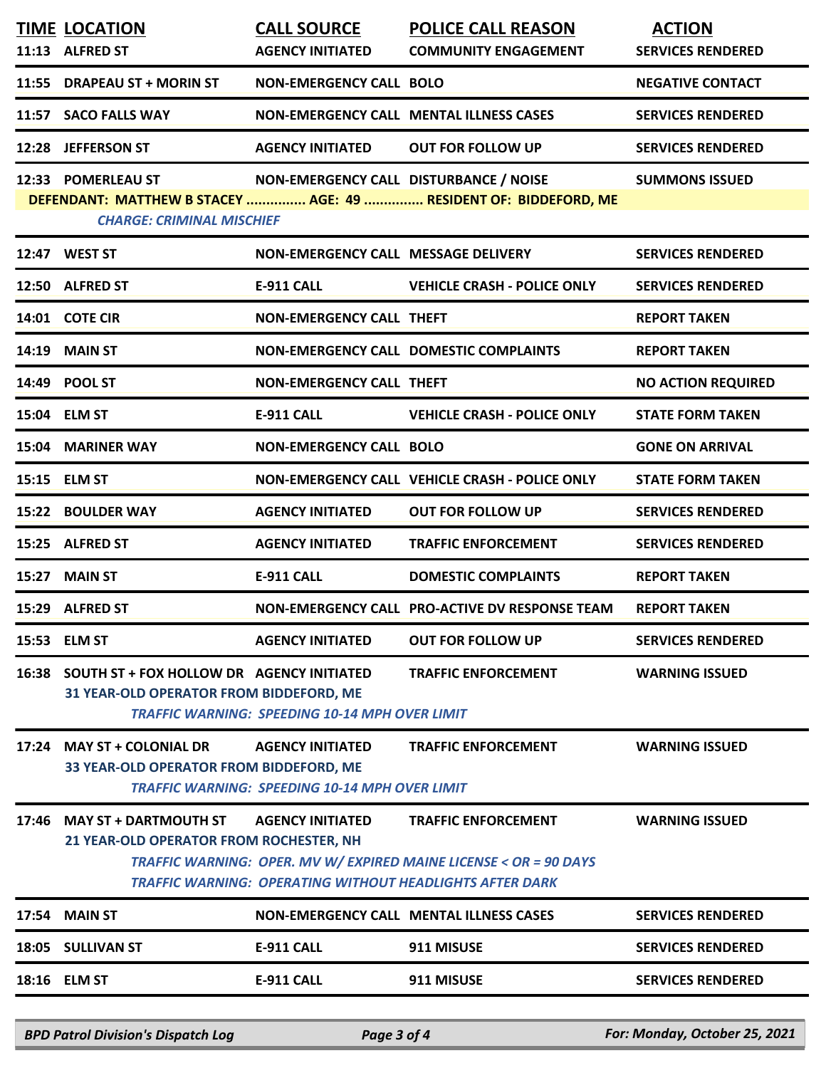|       | <b>TIME LOCATION</b><br>11:13 ALFRED ST                                              | <b>CALL SOURCE</b><br><b>AGENCY INITIATED</b>                                    | <b>POLICE CALL REASON</b><br><b>COMMUNITY ENGAGEMENT</b>                                                                                                           | <b>ACTION</b><br><b>SERVICES RENDERED</b> |
|-------|--------------------------------------------------------------------------------------|----------------------------------------------------------------------------------|--------------------------------------------------------------------------------------------------------------------------------------------------------------------|-------------------------------------------|
|       | 11:55 DRAPEAU ST + MORIN ST                                                          | <b>NON-EMERGENCY CALL BOLO</b>                                                   |                                                                                                                                                                    | <b>NEGATIVE CONTACT</b>                   |
|       | 11:57 SACO FALLS WAY                                                                 |                                                                                  | <b>NON-EMERGENCY CALL MENTAL ILLNESS CASES</b>                                                                                                                     | <b>SERVICES RENDERED</b>                  |
|       | 12:28 JEFFERSON ST                                                                   | <b>AGENCY INITIATED</b>                                                          | <b>OUT FOR FOLLOW UP</b>                                                                                                                                           | <b>SERVICES RENDERED</b>                  |
|       | 12:33 POMERLEAU ST<br><b>CHARGE: CRIMINAL MISCHIEF</b>                               | NON-EMERGENCY CALL DISTURBANCE / NOISE                                           | DEFENDANT: MATTHEW B STACEY  AGE: 49  RESIDENT OF: BIDDEFORD, ME                                                                                                   | <b>SUMMONS ISSUED</b>                     |
|       | 12:47 WEST ST                                                                        | NON-EMERGENCY CALL MESSAGE DELIVERY                                              |                                                                                                                                                                    | <b>SERVICES RENDERED</b>                  |
|       | 12:50 ALFRED ST                                                                      | E-911 CALL                                                                       | <b>VEHICLE CRASH - POLICE ONLY</b>                                                                                                                                 | <b>SERVICES RENDERED</b>                  |
|       | 14:01 COTE CIR                                                                       | <b>NON-EMERGENCY CALL THEFT</b>                                                  |                                                                                                                                                                    | <b>REPORT TAKEN</b>                       |
|       | 14:19 MAIN ST                                                                        |                                                                                  | NON-EMERGENCY CALL DOMESTIC COMPLAINTS                                                                                                                             | <b>REPORT TAKEN</b>                       |
|       | 14:49 POOL ST                                                                        | <b>NON-EMERGENCY CALL THEFT</b>                                                  |                                                                                                                                                                    | <b>NO ACTION REQUIRED</b>                 |
|       | 15:04 ELM ST                                                                         | <b>E-911 CALL</b>                                                                | <b>VEHICLE CRASH - POLICE ONLY</b>                                                                                                                                 | <b>STATE FORM TAKEN</b>                   |
|       | 15:04 MARINER WAY                                                                    | <b>NON-EMERGENCY CALL BOLO</b>                                                   |                                                                                                                                                                    | <b>GONE ON ARRIVAL</b>                    |
|       | 15:15 ELM ST                                                                         |                                                                                  | NON-EMERGENCY CALL VEHICLE CRASH - POLICE ONLY                                                                                                                     | <b>STATE FORM TAKEN</b>                   |
|       | 15:22 BOULDER WAY                                                                    | <b>AGENCY INITIATED</b>                                                          | <b>OUT FOR FOLLOW UP</b>                                                                                                                                           | <b>SERVICES RENDERED</b>                  |
|       | 15:25 ALFRED ST                                                                      | <b>AGENCY INITIATED</b>                                                          | <b>TRAFFIC ENFORCEMENT</b>                                                                                                                                         | <b>SERVICES RENDERED</b>                  |
|       | 15:27 MAIN ST                                                                        | <b>E-911 CALL</b>                                                                | <b>DOMESTIC COMPLAINTS</b>                                                                                                                                         | <b>REPORT TAKEN</b>                       |
|       | 15:29 ALFRED ST                                                                      |                                                                                  | NON-EMERGENCY CALL PRO-ACTIVE DV RESPONSE TEAM                                                                                                                     | <b>REPORT TAKEN</b>                       |
|       | 15:53 ELM ST                                                                         | <b>AGENCY INITIATED</b>                                                          | <b>OUT FOR FOLLOW UP</b>                                                                                                                                           | <b>SERVICES RENDERED</b>                  |
| 16:38 | SOUTH ST + FOX HOLLOW DR AGENCY INITIATED<br>31 YEAR-OLD OPERATOR FROM BIDDEFORD, ME | <b>TRAFFIC WARNING: SPEEDING 10-14 MPH OVER LIMIT</b>                            | <b>TRAFFIC ENFORCEMENT</b>                                                                                                                                         | <b>WARNING ISSUED</b>                     |
|       | 17:24 MAY ST + COLONIAL DR<br>33 YEAR-OLD OPERATOR FROM BIDDEFORD, ME                | <b>AGENCY INITIATED</b><br><b>TRAFFIC WARNING: SPEEDING 10-14 MPH OVER LIMIT</b> | <b>TRAFFIC ENFORCEMENT</b>                                                                                                                                         | <b>WARNING ISSUED</b>                     |
|       | 17:46 MAY ST + DARTMOUTH ST<br>21 YEAR-OLD OPERATOR FROM ROCHESTER, NH               | <b>AGENCY INITIATED</b>                                                          | <b>TRAFFIC ENFORCEMENT</b><br>TRAFFIC WARNING: OPER. MV W/ EXPIRED MAINE LICENSE < OR = 90 DAYS<br><b>TRAFFIC WARNING: OPERATING WITHOUT HEADLIGHTS AFTER DARK</b> | <b>WARNING ISSUED</b>                     |
| 17:54 | <b>MAIN ST</b>                                                                       |                                                                                  | <b>NON-EMERGENCY CALL MENTAL ILLNESS CASES</b>                                                                                                                     | <b>SERVICES RENDERED</b>                  |
|       | 18:05 SULLIVAN ST                                                                    | <b>E-911 CALL</b>                                                                | 911 MISUSE                                                                                                                                                         | <b>SERVICES RENDERED</b>                  |
|       | 18:16 ELM ST                                                                         | <b>E-911 CALL</b>                                                                | 911 MISUSE                                                                                                                                                         | <b>SERVICES RENDERED</b>                  |
|       |                                                                                      |                                                                                  |                                                                                                                                                                    |                                           |

*BPD Patrol Division's Dispatch Log Page 3 of 4 For: Monday, October 25, 2021*